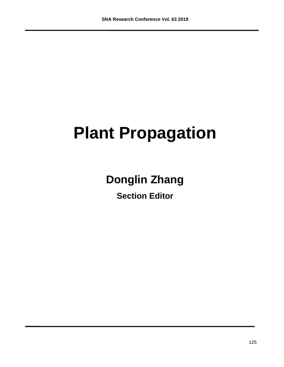# **Plant Propagation**

# **Donglin Zhang**

**Section Editor**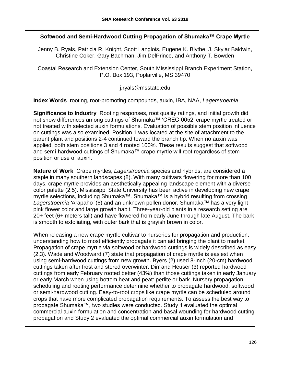#### **Softwood and Semi-Hardwood Cutting Propagation of Shumaka™ Crape Myrtle**

Jenny B. Ryals, Patricia R. Knight, Scott Langlois, Eugene K. Blythe, J. Skylar Baldwin, Christine Coker, Gary Bachman, Jim DelPrince, and Anthony T. Bowden

Coastal Research and Extension Center, South Mississippi Branch Experiment Station, P.O. Box 193, Poplarville, MS 39470

j.ryals@msstate.edu

**Index Words** rooting, root-promoting compounds, auxin, IBA, NAA, *Lagerstroemia*

**Significance to Industry** Rooting responses, root quality ratings, and initial growth did not show differences among cuttings of Shumaka™ 'CREC-0052' crape myrtle treated or not treated with selected auxin formulations. Evaluation of possible stem position influence on cuttings was also examined. Position 1 was located at the site of attachment to the parent plant and positions 2-4 continued toward the branch tip. When no auxin was applied, both stem positions 3 and 4 rooted 100%. These results suggest that softwood and semi-hardwood cuttings of Shumaka™ crape myrtle will root regardless of stem position or use of auxin.

**Nature of Work** Crape myrtles, *Lagerstroemia* species and hybrids, are considered a staple in many southern landscapes (8). With many cultivars flowering for more than 100 days, crape myrtle provides an aesthetically appealing landscape element with a diverse color palette (2,5). Mississippi State University has been active in developing new crape myrtle selections, including Shumaka™. Shumaka™ is a hybrid resulting from crossing *Lagerstroemia '*Arapaho*'* (6) and an unknown pollen donor. Shumaka*™* has a very light pink flower color and large growth habit. Three-year-old plants in a research setting are 20+ feet (6+ meters tall) and have flowered from early June through late August. The bark is smooth to exfoliating, with outer bark that is grayish brown in color.

When releasing a new crape myrtle cultivar to nurseries for propagation and production, understanding how to most efficiently propagate it can aid bringing the plant to market. Propagation of crape myrtle via softwood or hardwood cuttings is widely described as easy (2,3). Wade and Woodward (7) state that propagation of crape myrtle is easiest when using semi-hardwood cuttings from new growth. Byers (2) used 8-inch (20-cm) hardwood cuttings taken after frost and stored overwinter. Dirr and Heuser (3) reported hardwood cuttings from early February rooted better (43%) than those cuttings taken in early January or early March when using bottom heat and peat: perlite or bark. Nursery propagation scheduling and rooting performance determine whether to propagate hardwood, softwood or semi-hardwood cutting. Easy-to-root crops like crape myrtle can be scheduled around crops that have more complicated propagation requirements. To assess the best way to propagate Shumaka™, two studies were conducted. Study 1 evaluated the optimal commercial auxin formulation and concentration and basal wounding for hardwood cutting propagation and Study 2 evaluated the optimal commercial auxin formulation and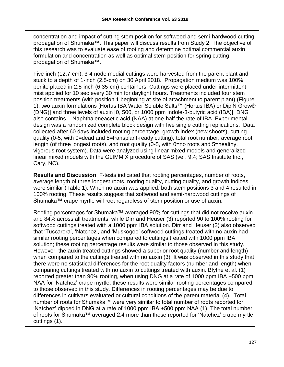concentration and impact of cutting stem position for softwood and semi-hardwood cutting propagation of Shumaka™. This paper will discuss results from Study 2. The objective of this research was to evaluate ease of rooting and determine optimal commercial auxin formulation and concentration as well as optimal stem position for spring cutting propagation of Shumaka™.

Five-inch (12.7-cm), 3-4 node medial cuttings were harvested from the parent plant and stuck to a depth of 1-inch (2.5-cm) on 30 April 2018. Propagation medium was 100% perlite placed in 2.5-inch (6.35-cm) containers. Cuttings were placed under intermittent mist applied for 10 sec every 30 min for daylight hours. Treatments included four stem position treatments (with position 1 beginning at site of attachment to parent plant) (Figure 1), two auxin formulations [Hortus IBA Water Soluble Salts™ (Hortus IBA) or Dip'N Grow® (DNG)] and three levels of auxin [0, 500, or 1000 ppm Indole-3-butyric acid (IBA)]. DNG also contains 1-Naphthaleneacetic acid (NAA) at one-half the rate of IBA. Experimental design was a randomized complete block design with five single cutting replications. Data collected after 60 days included rooting percentage, growth index (new shoots), cutting quality (0-5, with 0=dead and 5=transplant-ready cutting), total root number, average root length (of three longest roots), and root quality (0-5, with 0=no roots and 5=healthy, vigorous root system). Data were analyzed using linear mixed models and generalized linear mixed models with the GLIMMIX procedure of SAS (ver. 9.4; SAS Institute Inc., Cary, NC).

**Results and Discussion** F-tests indicated that rooting percentages, number of roots, average length of three longest roots, rooting quality, cutting quality, and growth indices were similar (Table 1). When no auxin was applied, both stem positions 3 and 4 resulted in 100% rooting. These results suggest that softwood and semi-hardwood cuttings of Shumaka™ crape myrtle will root regardless of stem position or use of auxin.

Rooting percentages for Shumaka™ averaged 90% for cuttings that did not receive auxin and 84% across all treatments, while Dirr and Heuser (3) reported 90 to 100% rooting for softwood cuttings treated with a 1000 ppm IBA solution. Dirr and Heuser (3) also observed that 'Tuscarora', 'Natchez', and 'Muskogee' softwood cuttings treated with no auxin had similar rooting percentages when compared to cuttings treated with 1000 ppm IBA solution; these rooting percentage results were similar to those observed in this study. However, the auxin treated cuttings showed a superior root quality (number and length) when compared to the cuttings treated with no auxin (3). It was observed in this study that there were no statistical differences for the root quality factors (number and length) when comparing cuttings treated with no auxin to cuttings treated with auxin. Blythe et al. (1) reported greater than 90% rooting, when using DNG at a rate of 1000 ppm IBA +500 ppm NAA for 'Natchez' crape myrtle; these results were similar rooting percentages compared to those observed in this study. Differences in rooting percentages may be due to differences in cultivars evaluated or cultural conditions of the parent material (4). Total number of roots for Shumaka™ were very similar to total number of roots reported for 'Natchez' dipped in DNG at a rate of 1000 ppm IBA +500 ppm NAA (1). The total number of roots for Shumaka™ averaged 2.4 more than those reported for 'Natchez' crape myrtle cuttings (1).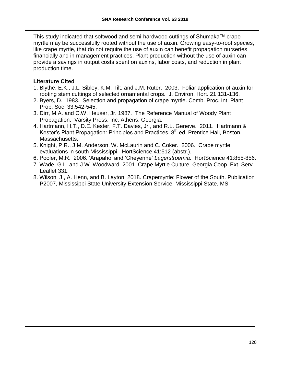This study indicated that softwood and semi-hardwood cuttings of Shumaka™ crape myrtle may be successfully rooted without the use of auxin. Growing easy-to-root species, like crape myrtle, that do not require the use of auxin can benefit propagation nurseries financially and in management practices. Plant production without the use of auxin can provide a savings in output costs spent on auxins, labor costs, and reduction in plant production time.

### **Literature Cited**

- 1. Blythe, E.K., J.L. Sibley, K.M. Tilt, and J.M. Ruter. 2003. Foliar application of auxin for rooting stem cuttings of selected ornamental crops. J. Environ. Hort. 21:131-136.
- 2. Byers, D. 1983. Selection and propagation of crape myrtle. Comb. Proc. Int. Plant Prop. Soc. 33:542-545.
- 3. Dirr, M.A. and C.W. Heuser, Jr. 1987. The Reference Manual of Woody Plant Propagation. Varsity Press, Inc. Athens, Georgia.
- 4. Hartmann, H.T., D.E. Kester, F.T. Davies, Jr., and R.L. Geneve. 2011. Hartmann & Kester's Plant Propagation: Principles and Practices, 8<sup>th</sup> ed. Prentice Hall, Boston, Massachusetts.
- 5. Knight, P.R., J.M. Anderson, W. McLaurin and C. Coker. 2006. Crape myrtle evaluations in south Mississippi. HortScience 41:512 (abstr.).
- 6. Pooler, M.R. 2006. 'Arapaho' and 'Cheyenne' *Lagerstroemia.* HortScience 41:855-856.
- 7. Wade, G.L. and J.W. Woodward. 2001. Crape Myrtle Culture. Georgia Coop. Ext. Serv. Leaflet 331.
- 8. Wilson, J., A. Henn, and B. Layton. 2018. Crapemyrtle: Flower of the South. Publication P2007, Mississippi State University Extension Service, Mississippi State, MS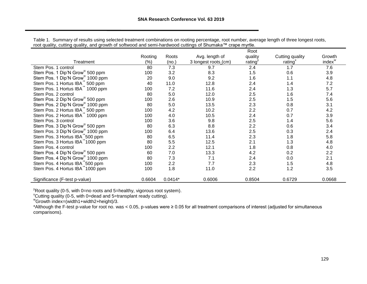|                                              | Root    |           |                      |         |                 |                    |
|----------------------------------------------|---------|-----------|----------------------|---------|-----------------|--------------------|
|                                              | Rooting | Roots     | Avg. length of       | quality | Cutting quality | Growth             |
| Treatment                                    | (%)     | (no.)     | 3 longest roots_(cm) | rating  | rating $x$      | index <sup>w</sup> |
| Stem Pos. 1 control                          | 80      | 7.3       | 9.7                  | 2.4     | 1.7             | 7.6                |
| Stem Pos. 1 Dip'N Grow <sup>®</sup> 500 ppm  | 100     | 3.2       | 8.3                  | 1.5     | 0.6             | 3.9                |
| Stem Pos. 1 Dip'N Grow <sup>®</sup> 1000 ppm | 20      | 9.0       | 9.2                  | 1.6     | 1.1             | 4.8                |
| Stem Pos. 1 Hortus IBA <sup>"</sup> 500 ppm  | 40      | 11.0      | 12.8                 | 2.4     | 1.4             | 7.2                |
| Stem Pos. 1 Hortus IBA <sup>"</sup> 1000 ppm | 100     | 7.2       | 11.6                 | 2.4     | 1.3             | 5.7                |
| Stem Pos. 2 control                          | 80      | 5.0       | 12.0                 | 2.5     | 1.6             | 7.4                |
| Stem Pos. 2 Dip'N Grow <sup>®</sup> 500 ppm  | 100     | 2.6       | 10.9                 | 2.5     | 1.5             | 5.6                |
| Stem Pos. 2 Dip'N Grow <sup>®</sup> 1000 ppm | 80      | 5.0       | 13.5                 | 2.3     | 0.8             | 3.1                |
| Stem Pos. 2 Hortus IBA <sup>"</sup> 500 ppm  | 100     | 4.2       | 10.2                 | 2.2     | 0.7             | 4.2                |
| Stem Pos. 2 Hortus IBA <sup>"</sup> 1000 ppm | 100     | 4.0       | 10.5                 | 2.4     | 0.7             | 3.9                |
| Stem Pos. 3 control                          | 100     | 3.6       | 9.8                  | 2.5     | 1.4             | 5.6                |
| Stem Pos. 3 Dip'N Grow <sup>®</sup> 500 ppm  | 80      | 6.3       | 8.8                  | 2.2     | 0.6             | 3.4                |
| Stem Pos. 3 Dip'N Grow <sup>®</sup> 1000 ppm | 100     | 6.4       | 13.6                 | 2.5     | 0.3             | 2.4                |
| Stem Pos. 3 Hortus IBA "500 ppm              | 80      | 6.5       | 11.4                 | 2.3     | 1.8             | 5.8                |
| Stem Pos. 3 Hortus IBA <sup>"</sup> 1000 ppm | 80      | 5.5       | 12.5                 | 2.1     | 1.3             | 4.8                |
| Stem Pos. 4 control                          | 100     | 2.2       | 12.1                 | 1.8     | 0.8             | 4.0                |
| Stem Pos. 4 Dip'N Grow <sup>®</sup> 500 ppm  | 60      | 7.0       | 13.3                 | 4.2     | 0.2             | 2.2                |
| Stem Pos. 4 Dip'N Grow <sup>®</sup> 1000 ppm | 80      | 7.3       | 7.1                  | 2.4     | 0.0             | 2.1                |
| Stem Pos. 4 Hortus IBA <sup>™</sup> 500 ppm  | 100     | 2.2       | 7.7                  | 2.3     | 1.5             | 4.8                |
| Stem Pos. 4 Hortus IBA 1000 ppm              | 100     | 1.8       | 11.0                 | 2.2     | 1.2             | 3.5                |
| Significance (F-test p-value)                | 0.6604  | $0.0414*$ | 0.6006               | 0.8504  | 0.6729          | 0.0668             |

Table 1. Summary of results using selected treatment combinations on rooting percentage, root number, average length of three longest roots, root quality, cutting quality, and growth of softwood and semi-hardwood cuttings of Shumaka™ crape myrtle.

 $\rm v$ Root quality (0-5, with 0=no roots and 5=healthy, vigorous root system).

<sup>x</sup>Cutting quality (0-5, with 0=dead and 5=transplant ready cutting).

<sup>w</sup>Growth index=(width1+width2+height)/3.

\*Although the F-test p-value for root no. was < 0.05, p-values were ≥ 0.05 for all treatment comparisons of interest (adjusted for simultaneous comparisons).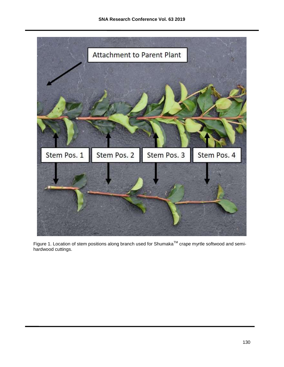

Figure 1. Location of stem positions along branch used for Shumaka<sup>TM</sup> crape myrtle softwood and semihardwood cuttings.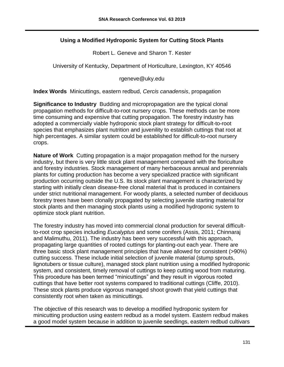# **Using a Modified Hydroponic System for Cutting Stock Plants**

Robert L. Geneve and Sharon T. Kester

University of Kentucky, Department of Horticulture, Lexington, KY 40546

rgeneve@uky.edu

**Index Words** Minicuttings, eastern redbud, *Cercis canadensis*, propagation

**Significance to Industry** Budding and micropropagation are the typical clonal propagation methods for difficult-to-root nursery crops. These methods can be more time consuming and expensive that cutting propagation. The forestry industry has adopted a commercially viable hydroponic stock plant strategy for difficult-to-root species that emphasizes plant nutrition and juvenility to establish cuttings that root at high percentages. A similar system could be established for difficult-to-root nursery crops.

**Nature of Work** Cutting propagation is a major propagation method for the nursery industry, but there is very little stock plant management compared with the floriculture and forestry industries. Stock management of many herbaceous annual and perennials plants for cutting production has become a very specialized practice with significant production occurring outside the U.S. Its stock plant management is characterized by starting with initially clean disease-free clonal material that is produced in containers under strict nutritional management. For woody plants, a selected number of deciduous forestry trees have been clonally propagated by selecting juvenile starting material for stock plants and then managing stock plants using a modified hydroponic system to optimize stock plant nutrition.

The forestry industry has moved into commercial clonal production for several difficultto-root crop species including *Eucalyptus* and some conifers (Assis, 2011; Chinnaraj and Malimuthu, 2011). The industry has been very successful with this approach, propagating large quantities of rooted cuttings for planting-out each year. There are three basic stock plant management principles that have allowed for consistent (>90%) cutting success. These include initial selection of juvenile material (stump sprouts, lignotubers or tissue culture), managed stock plant nutrition using a modified hydroponic system, and consistent, timely removal of cuttings to keep cutting wood from maturing. This procedure has been termed "minicuttings" and they result in vigorous rooted cuttings that have better root systems compared to traditional cuttings (Cliffe, 2010). These stock plants produce vigorous managed shoot growth that yield cuttings that consistently root when taken as minicuttings.

The objective of this research was to develop a modified hydroponic system for minicutting production using eastern redbud as a model system. Eastern redbud makes a good model system because in addition to juvenile seedlings, eastern redbud cultivars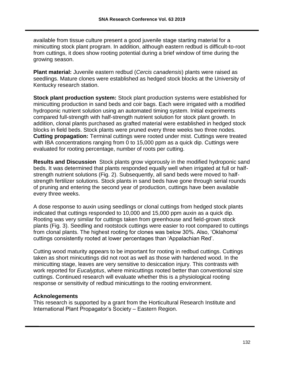available from tissue culture present a good juvenile stage starting material for a minicutting stock plant program. In addition, although eastern redbud is difficult-to-root from cuttings, it does show rooting potential during a brief window of time during the growing season.

**Plant material:** Juvenile eastern redbud (*Cercis canadensis*) plants were raised as seedlings. Mature clones were established as hedged stock blocks at the University of Kentucky research station.

**Stock plant production system:** Stock plant production systems were established for minicutting production in sand beds and coir bags. Each were irrigated with a modified hydroponic nutrient solution using an automated timing system. Initial experiments compared full-strength with half-strength nutrient solution for stock plant growth. In addition, clonal plants purchased as grafted material were established in hedged stock blocks in field beds. Stock plants were pruned every three weeks two three nodes. **Cutting propagation:** Terminal cuttings were rooted under mist. Cuttings were treated with IBA concentrations ranging from 0 to 15,000 ppm as a quick dip. Cuttings were evaluated for rooting percentage, number of roots per cutting.

**Results and Discussion** Stock plants grow vigorously in the modified hydroponic sand beds. It was determined that plants responded equally well when irrigated at full or halfstrength nutrient solutions (Fig. 2). Subsequently, all sand beds were moved to halfstrength fertilizer solutions. Stock plants in sand beds have gone through serial rounds of pruning and entering the second year of production, cuttings have been available every three weeks.

A dose response to auxin using seedlings or clonal cuttings from hedged stock plants indicated that cuttings responded to 10,000 and 15,000 ppm auxin as a quick dip. Rooting was very similar for cuttings taken from greenhouse and field-grown stock plants (Fig. 3). Seedling and rootstock cuttings were easier to root compared to cuttings from clonal plants. The highest rooting for clones was below 30%. Also, 'Oklahoma' cuttings consistently rooted at lower percentages than 'Appalachian Red'.

Cutting wood maturity appears to be important for rooting in redbud cuttings. Cuttings taken as short minicuttings did not root as well as those with hardened wood. In the minicutting stage, leaves are very sensitive to desiccation injury. This contrasts with work reported for *Eucalyptus*, where minicuttings rooted better than conventional size cuttings. Continued research will evaluate whether this is a physiological rooting response or sensitivity of redbud minicuttings to the rooting environment.

## **Acknolegements**

This research is supported by a grant from the Horticultural Research Institute and International Plant Propagator's Society – Eastern Region.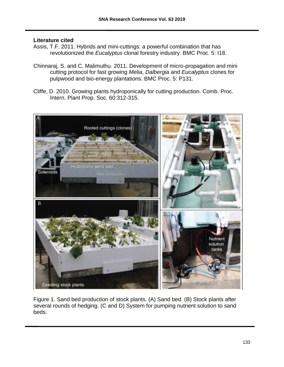#### **Literature cited**

- Assis, T.F. 2011. Hybrids and mini-cuttings: a powerful combination that has revolutionized the *Eucalyptus* clonal forestry industry. BMC Proc. 5: I18.
- Chinnaraj, S. and C. Malimuthu. 2011. Development of micro-propagation and mini cutting protocol for fast growing *Melia*, *Dalbergia* and *Eucalyptus* clones for pulpwood and bio-energy plantations. BMC Proc. 5: P131.
- Cliffe, D. 2010. Growing plants hydroponically for cutting production. Comb. Proc. Intern. Plant Prop. Soc. 60:312-315.



Figure 1. Sand bed production of stock plants. (A) Sand bed. (B) Stock plants after several rounds of hedging. (C and D) System for pumping nutrient solution to sand beds.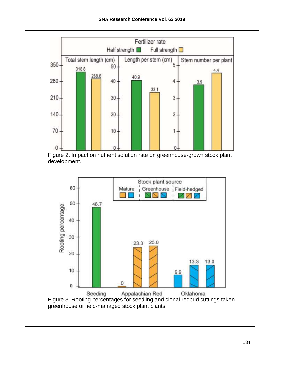

Figure 2. Impact on nutrient solution rate on greenhouse-grown stock plant development.



Figure 3. Rooting percentages for seedling and clonal redbud cuttings taken greenhouse or field-managed stock plant plants.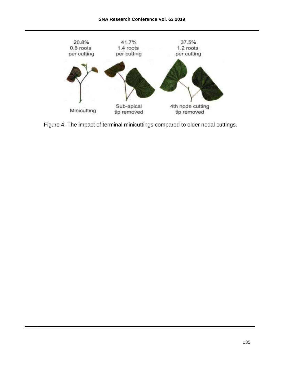

Figure 4. The impact of terminal minicuttings compared to older nodal cuttings.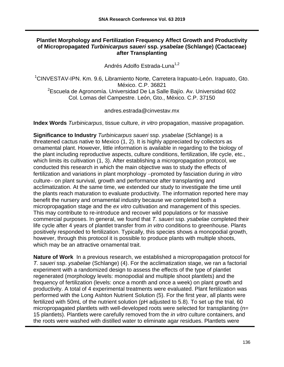#### **Plantlet Morphology and Fertilization Frequency Affect Growth and Productivity of Micropropagated** *Turbinicarpus saueri* **ssp.** *ysabelae* **(Schlange) (Cactaceae) after Transplanting**

Andrés Adolfo Estrada-Luna<sup>1,2</sup>

<sup>1</sup>CINVESTAV-IPN. Km. 9.6, Libramiento Norte, Carretera Irapuato-León. Irapuato, Gto. México. C.P. 36821 <sup>2</sup>Escuela de Agronomía. Universidad De La Salle Bajío. Av. Universidad 602 Col. Lomas del Campestre. León, Gto., México. C.P. 37150

andres.estrada@cinvestav.mx

**Index Words** *Turbinicarpus*, tissue culture, *in vitro* propagation, massive propagation.

**Significance to Industry** *Turbinicarpus saueri* ssp. *ysabelae* (Schlange) is a threatened cactus native to Mexico (1, 2). It is highly appreciated by collectors as ornamental plant. However, little information is available in regarding to the biology of the plant including reproductive aspects, culture conditions, fertilization, life cycle, etc., which limits its cultivation (1, 3). After establishing a micropropagation protocol, we conducted this research in which the main objective was to study the effects of fertilization and variations in plant morphology -promoted by fasciation during *in vitro* culture- on plant survival, growth and performance after transplanting and acclimatization. At the same time, we extended our study to investigate the time until the plants reach maturation to evaluate productivity. The information reported here may benefit the nursery and ornamental industry because we completed both a micropropagation stage and the *ex vitro* cultivation and management of this species. This may contribute to re-introduce and recover wild populations or for massive commercial purposes. In general, we found that *T. saueri* ssp. *ysabelae* completed their life cycle after 4 years of plantlet transfer from *in vitro* conditions to greenhouse. Plants positively responded to fertilization. Typically, this species shows a monopodial growth, however, through this protocol it is possible to produce plants with multiple shoots, which may be an attractive ornamental trait.

**Nature of Work** In a previous research, we established a micropropagation protocol for *T. saueri* ssp. *ysabelae* (Schlange) (4). For the acclimatization stage, we ran a factorial experiment with a randomized design to assess the effects of the type of plantlet regenerated (morphology levels: monopodial and multiple shoot plantlets) and the frequency of fertilization (levels: once a month and once a week) on plant growth and productivity. A total of 4 experimental treatments were evaluated. Plant fertilization was performed with the Long Ashton Nutrient Solution (5). For the first year, all plants were fertilized with 50mL of the nutrient solution (pH adjusted to 5.8). To set up the trial, 60 micropropagated plantlets with well-developed roots were selected for transplanting (n= 15 plantlets). Plantlets were carefully removed from the *in vitro* culture containers, and the roots were washed with distilled water to eliminate agar residues. Plantlets were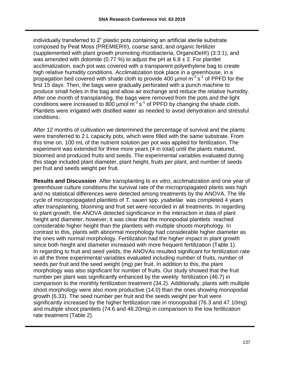individually transferred to 2" plastic pots containing an artificial sterile substrate composed by Peat Moss (PREMIER®), coarse sand, and organic fertilizer (supplemented with plant growth promoting rhizobacteria, OrganoDel®) (3:3:1), and was amended with dolomite (0.77 %) to adjust the pH at  $6.8 \pm 2$ . For plantlet acclimatization, each pot was covered with a transparent polyethylene bag to create high relative humidity conditions. Acclimatization took place in a greenhouse, in a propagation bed covered with shade cloth to provide 400  $\mu$ mol m<sup>-2</sup> s<sup>-1</sup> of PPFD for the first 15 days. Then, the bags were gradually perforated with a punch machine to produce small holes in the bag and allow air exchange and reduce the relative humidity. After one month of transplanting, the bags were removed from the pots and the light conditions were increased to 800  $\mu$ mol m<sup>-2</sup> s<sup>-1</sup> of PPFD by changing the shade cloth. Plantlets were irrigated with distilled water as needed to avoid dehydration and stressful conditions.

After 12 months of cultivation we determined the percentage of survival and the plants were transferred to 2 L capacity pots, which were filled with the same substrate. From this time on, 100 mL of the nutrient solution per pot was applied for fertilization. The experiment was extended for three more years (4 in total) until the plants matured, bloomed and produced fruits and seeds. The experimental variables evaluated during this stage included plant diameter, plant height, fruits per plant, and number of seeds per fruit and seeds weight per fruit.

**Results and Discussion** After transplanting to *ex vitro*, acclimatization and one year of greenhouse culture conditions the survival rate of the micropropagated plants was high and no statistical differences were detected among treatments by the ANOVA. The life cycle of micropropagated plantlets of *T. saueri* spp. *ysabelae* was completed 4 years after transplanting, blooming and fruit set were recorded in all treatments. In regarding to plant growth, the ANOVA detected significance in the interaction in data of plant height and diameter, however, it was clear that the monopodial plantlets reached considerable higher height than the plantlets with multiple shoots morphology. In contrast to this, plants with abnormal morphology had considerable higher diameter as the ones with normal morphology. Fertilization had the higher impact in plant growth since both height and diameter increased with more frequent fertilization (Table 1). In regarding to fruit and seed yields, the ANOVAs resulted significant for fertilization rate in all the three experimental variables evaluated including number of fruits, number of seeds per fruit and the seed weight (mg) per fruit. In addition to this, the plant morphology was also significant for number of fruits. Our study showed that the fruit number per plant was significantly enhanced by the weekly fertilization (46.7) in comparison to the monthly fertilization treatment (34.2). Additionally, plants with multiple shoot morphology were also more productive (14.0) than the ones showing monopodial growth (6.33). The seed number per fruit and the seeds weight per fruit were significantly increased by the higher fertilization rate in monopodial (76.3 and 47.10mg) and multiple shoot plantlets (74.6 and 46.20mg) in comparison to the low fertilization rate treatment (Table 2).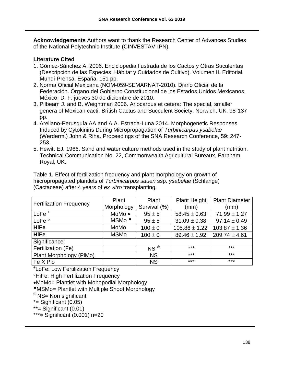**Acknowledgements** Authors want to thank the Research Center of Advances Studies of the National Polytechnic Institute (CINVESTAV-IPN).

### **Literature Cited**

- 1. Gómez-Sánchez A. 2006. Enciclopedia Ilustrada de los Cactos y Otras Suculentas (Descripción de las Especies, Hábitat y Cuidados de Cultivo). Volumen II. Editorial Mundi-Prensa, España. 151 pp.
- 2. Norma Oficial Mexicana (NOM-059-SEMARNAT-2010). Diario Oficial de la Federación. Órgano del Gobierno Constitucional de los Estados Unidos Mexicanos. México, D. F. jueves 30 de diciembre de 2010.
- 3. Pilbeam J. and B. Weightman 2006. Ariocarpus et cetera: The special, smaller genera of Mexican cacti. British Cactus and Succulent Society. Norwich, UK. 98-137 pp.
- 4. Arellano-Perusquía AA and A.A. Estrada-Luna 2014. Morphogenetic Responses Induced by Cytokinins During Micropropagation of *Turbinicarpus ysabelae*  (Werderm.) John & Riha. Proceedings of the SNA Research Conference, 59: 247- 253.
- 5. Hewitt EJ. 1966. Sand and water culture methods used in the study of plant nutrition. Technical Communication No. 22, Commonwealth Agricultural Bureaux, Farnham Royal, UK.

Table 1. Effect of fertilization frequency and plant morphology on growth of micropropagated plantlets of *Turbinicarpus saueri* ssp. *ysabelae* (Schlange) (Cactaceae) after 4 years of *ex vitro* transplanting.

|                                | Plant             | Plant         | <b>Plant Height</b> | <b>Plant Diameter</b> |  |
|--------------------------------|-------------------|---------------|---------------------|-----------------------|--|
| <b>Fertilization Frequency</b> | Morphology        | Survival (%)  | (mm)                | (mm)                  |  |
| $LoFe+$                        | MoMo •            | $95 \pm 5$    | $58.45 \pm 0.63$    | $71.99 \pm 1.27$      |  |
| LoFe <sup>o</sup>              | MSMo <sup>"</sup> | $95 \pm 5$    | $31.09 \pm 0.38$    | $97.14 \pm 0.49$      |  |
| <b>HiFe</b>                    | MoMo              | $100 \pm 0$   | $105.86 \pm 1.22$   | $103.87 \pm 1.36$     |  |
| <b>HiFe</b>                    | <b>MSMo</b>       | $100 \pm 0$   | $89.46 \pm 1.92$    | $209.74 \pm 4.61$     |  |
| Significance:                  |                   |               |                     |                       |  |
| Fertilization (Fe)             |                   | $NS^{\oplus}$ | ***                 | ***                   |  |
| Plant Morphology (PIMo)        |                   | <b>NS</b>     | ***                 | $***$                 |  |
| Fe X Plo                       |                   | <b>NS</b>     | ***                 | $***$                 |  |

LoFe: Low Fertilization Frequency

**<sup>o</sup>HiFe: High Fertilization Frequency** 

MoMo= Plantlet with Monopodial Morphology

MSMo= Plantlet with Multiple Shoot Morphology

 $\oplus$  NS= Non significant

 $*$ = Significant (0.05)

\*\*= Significant (0.01)

\*\*\*= Significant (0.001) n=20